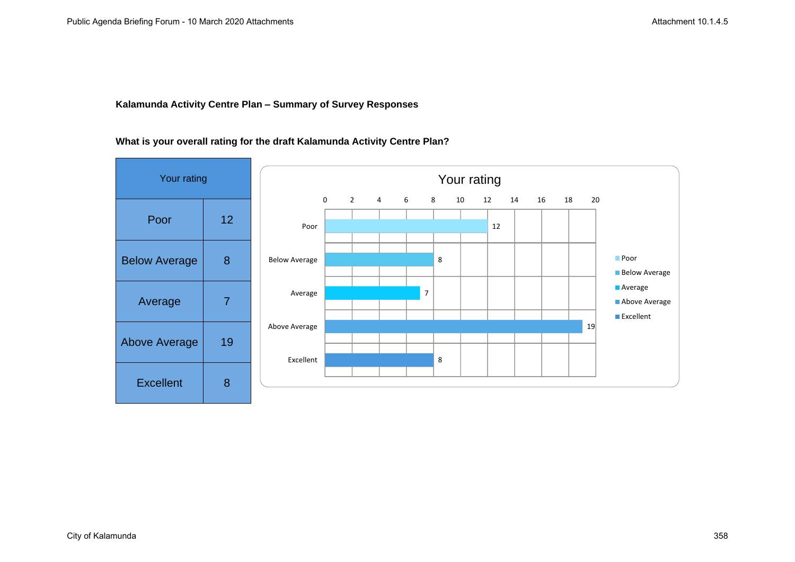## **Kalamunda Activity Centre Plan – Summary of Survey Responses**

#### **What is your overall rating for the draft Kalamunda Activity Centre Plan?**

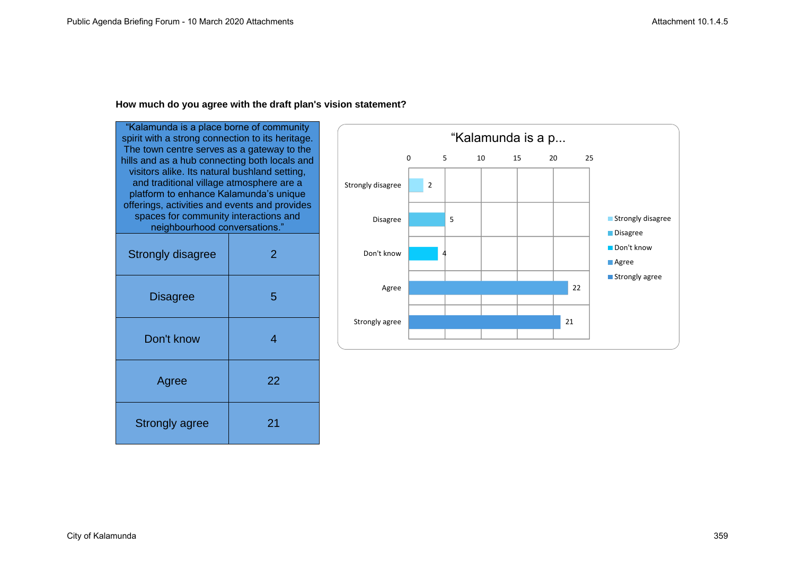#### **How much do you agree with the draft plan's vision statement?**

"Kalamunda is a place borne of community spirit with a strong connection to its heritage. The town centre serves as a gateway to the hills and as a hub connecting both locals and visitors alike. Its natural bushland setting, and traditional village atmosphere are a platform to enhance Kalamunda's unique offerings, activities and events and provides spaces for community interactions and neighbourhood conversations." Strongly disagree 2 Disagree | 5 Don't know 1 4 Agree 22 Strongly agree | 21

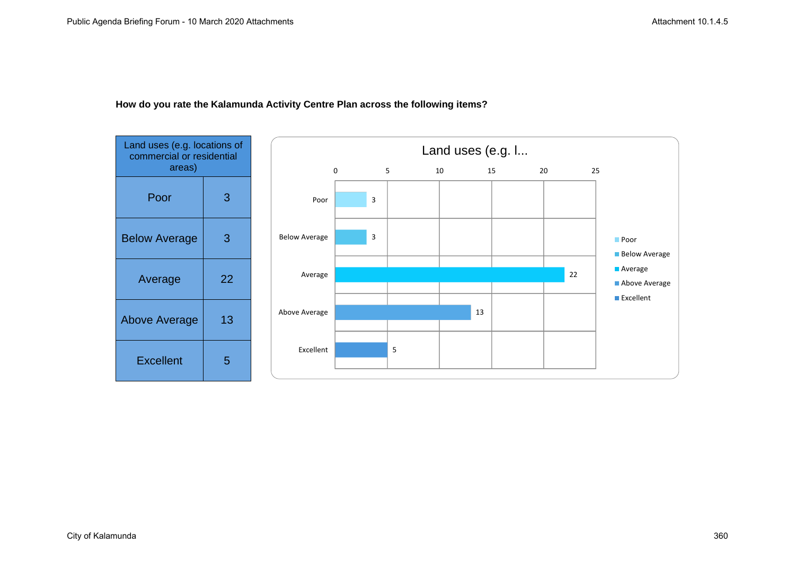

## **How do you rate the Kalamunda Activity Centre Plan across the following items?**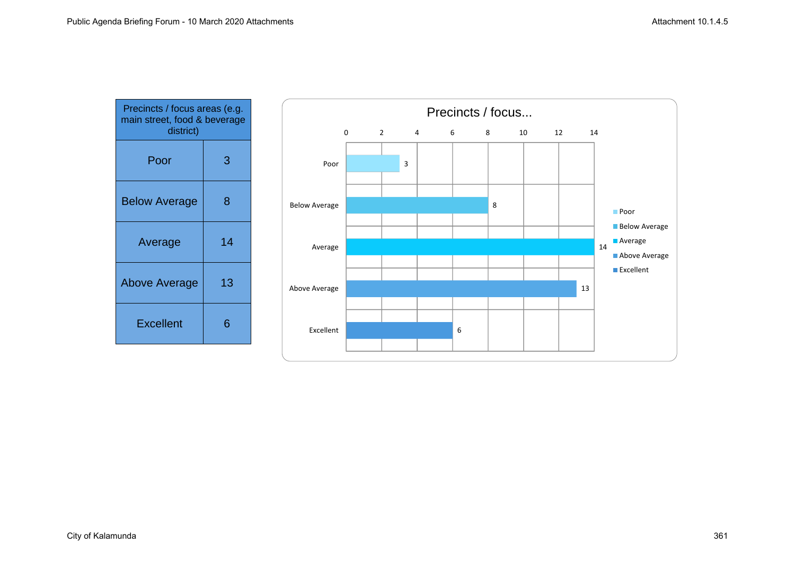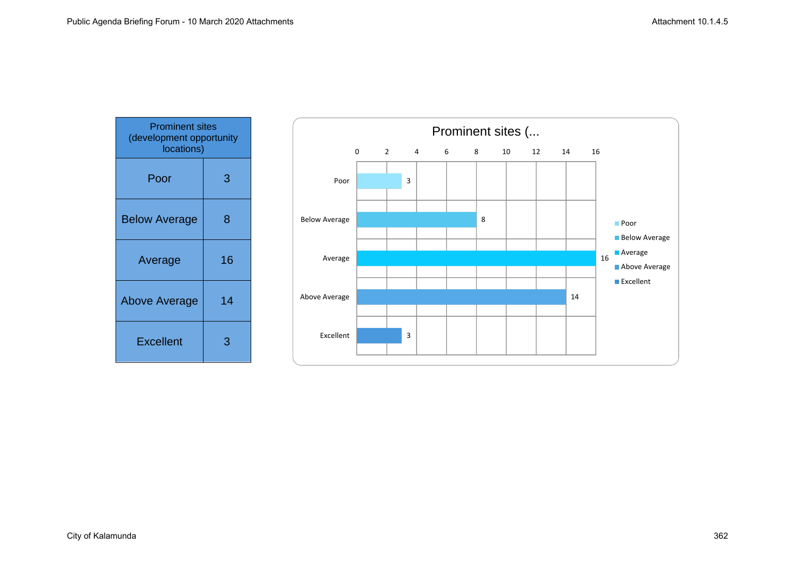| <b>Prominent sites</b><br>(development opportunity<br>locations) |    |
|------------------------------------------------------------------|----|
| Poor                                                             | 3  |
| <b>Below Average</b>                                             | 8  |
| Average                                                          | 16 |
| Above Average                                                    | 14 |
| <b>Excellent</b>                                                 | 3  |

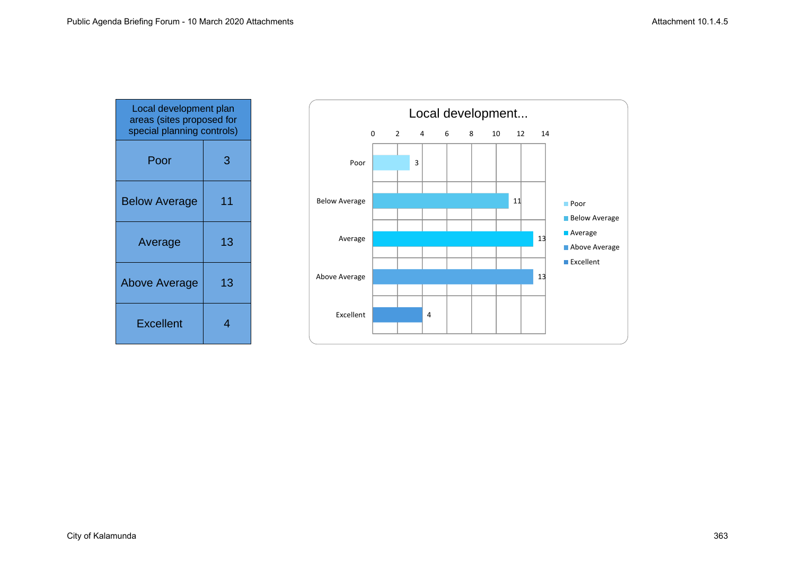| Local development plan<br>areas (sites proposed for<br>special planning controls) |    |
|-----------------------------------------------------------------------------------|----|
| Poor                                                                              | 3  |
| <b>Below Average</b>                                                              | 11 |
| Average                                                                           | 13 |
| <b>Above Average</b>                                                              | 13 |
| <b>Excellent</b>                                                                  | 4  |

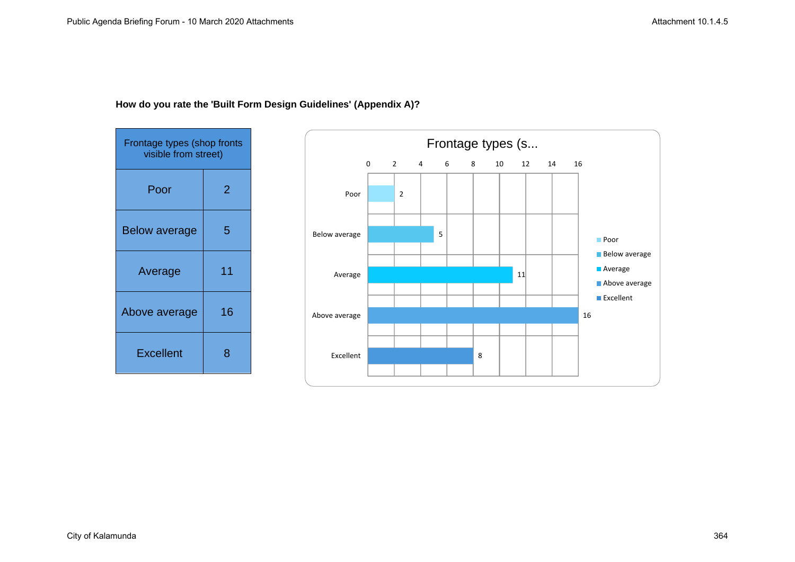

# **How do you rate the 'Built Form Design Guidelines' (Appendix A)?**

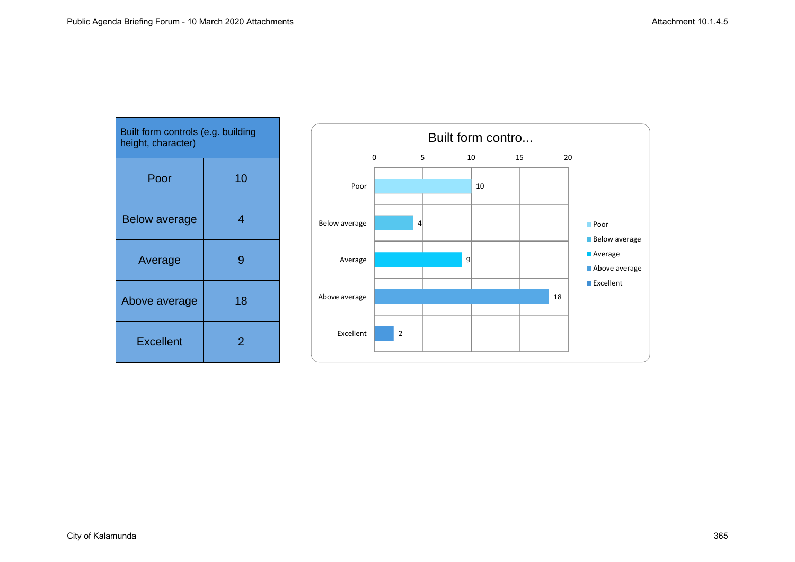| Built form controls (e.g. building<br>height, character) |    |
|----------------------------------------------------------|----|
| Poor                                                     | 10 |
| <b>Below average</b>                                     | 4  |
| Average                                                  | 9  |
| Above average                                            | 18 |
| <b>Excellent</b>                                         | 2  |

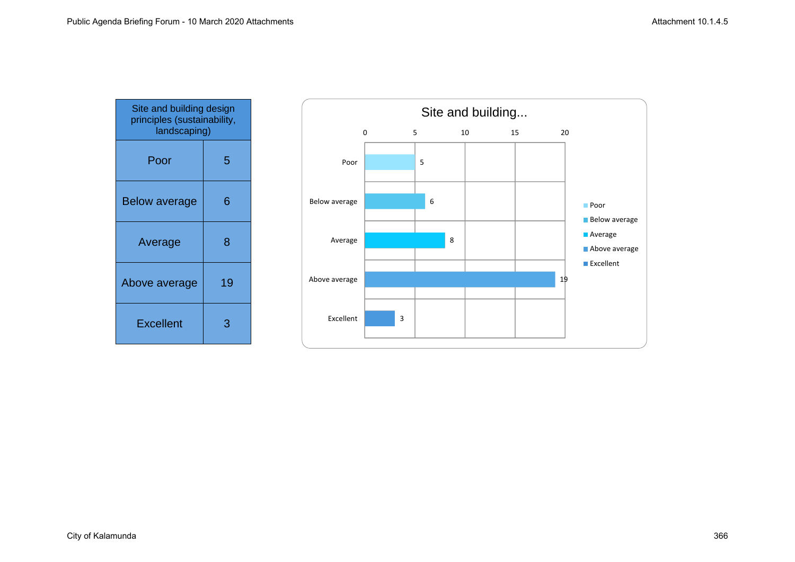| Site and building design<br>principles (sustainability,<br>landscaping) |    |
|-------------------------------------------------------------------------|----|
| Poor                                                                    | 5  |
| <b>Below average</b>                                                    | 6  |
| Average                                                                 | 8  |
| Above average                                                           | 19 |
| <b>Excellent</b>                                                        |    |

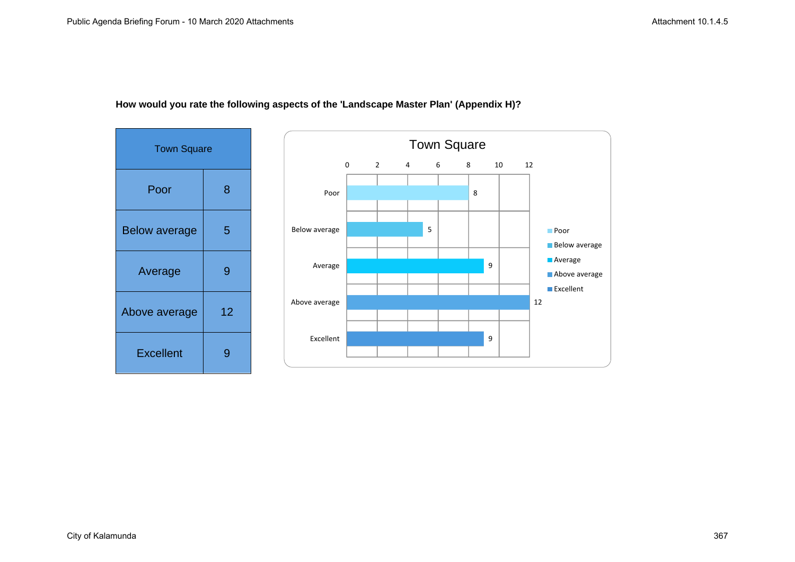

## **How would you rate the following aspects of the 'Landscape Master Plan' (Appendix H)?**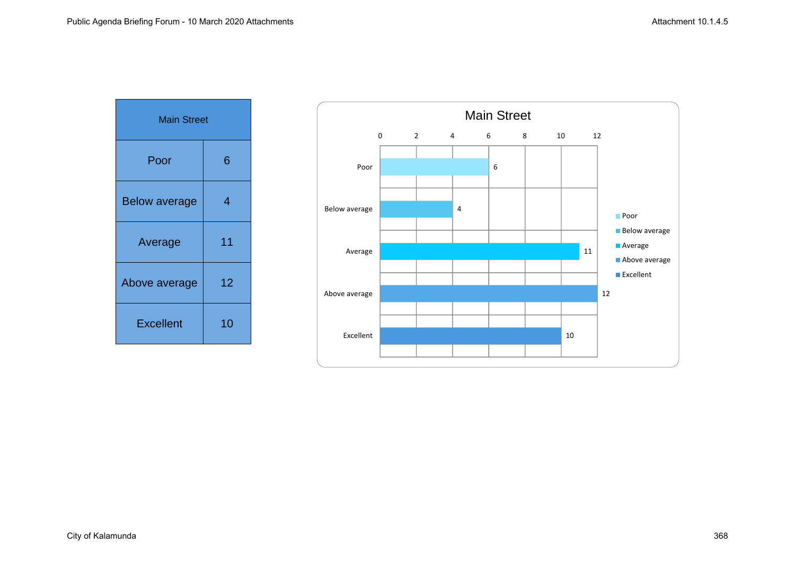| <b>Main Street</b>   |    |
|----------------------|----|
| Poor                 | 6  |
| <b>Below average</b> | 4  |
| Average              | 11 |
| Above average        | 12 |
| <b>Excellent</b>     | 10 |

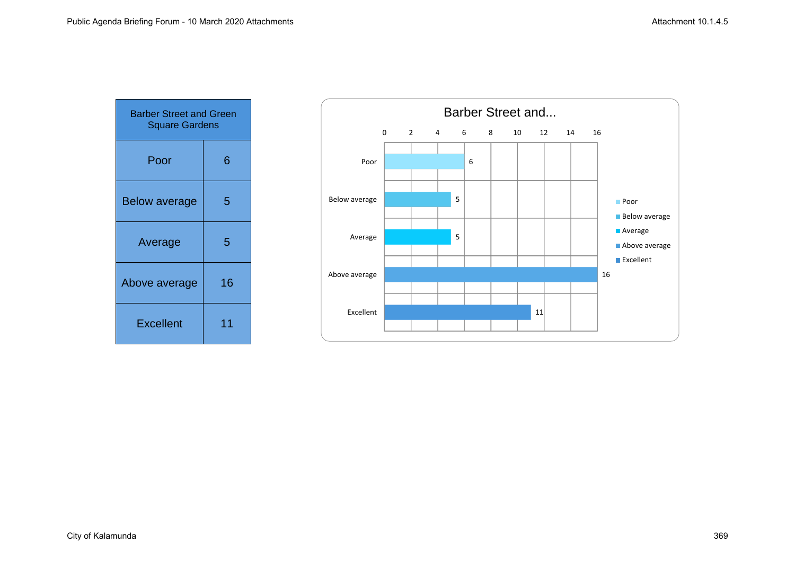| <b>Barber Street and Green</b><br><b>Square Gardens</b> |    |
|---------------------------------------------------------|----|
| Poor                                                    | 6  |
| <b>Below average</b>                                    | 5  |
| Average                                                 | 5  |
| Above average                                           | 16 |
| <b>Excellent</b>                                        | 11 |

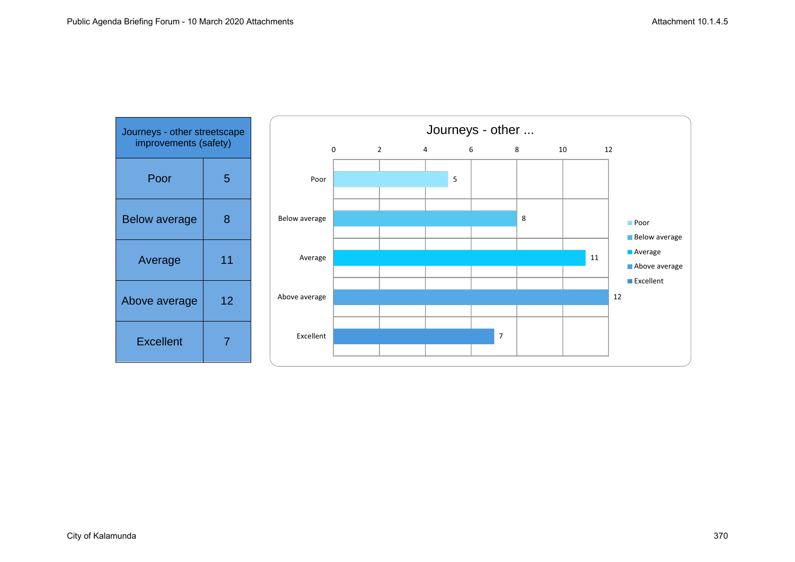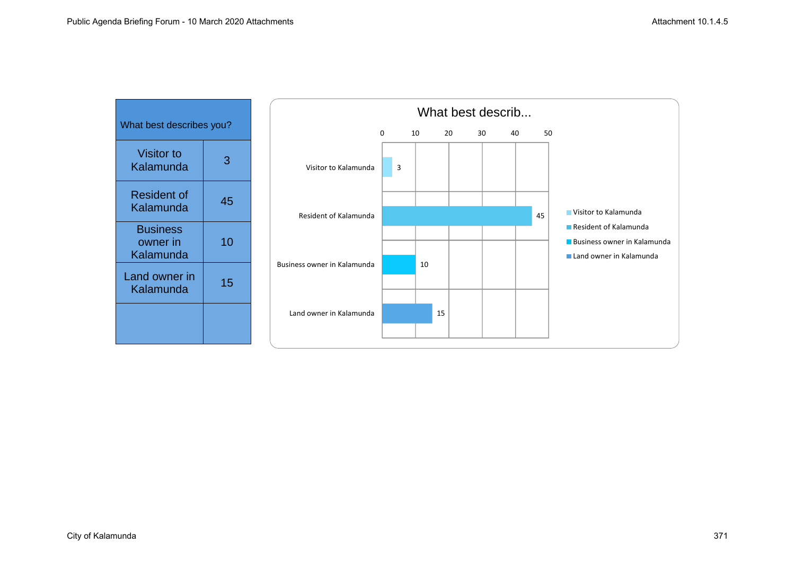| What best describes you?                 |    |
|------------------------------------------|----|
| <b>Visitor to</b><br>Kalamunda           | З  |
| Resident of<br>Kalamunda                 | 45 |
| <b>Business</b><br>owner in<br>Kalamunda | 10 |
| Land owner in<br>Kalamunda               | 15 |
|                                          |    |

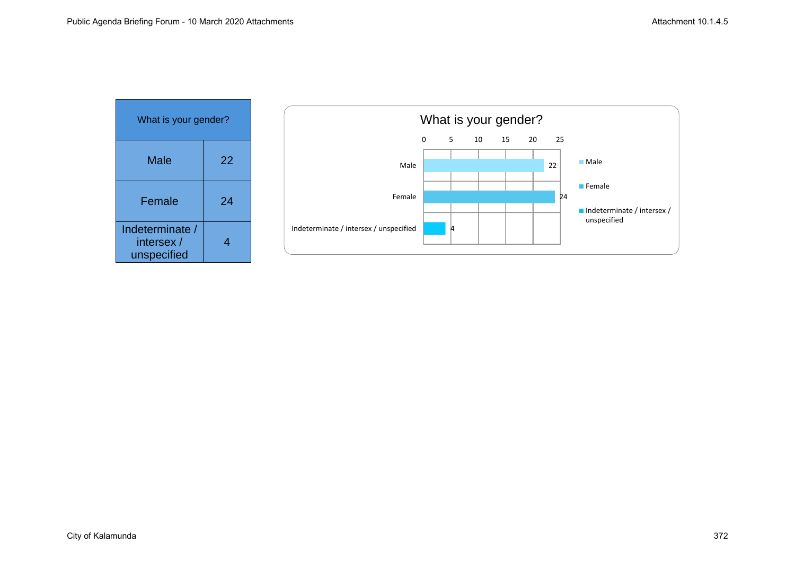